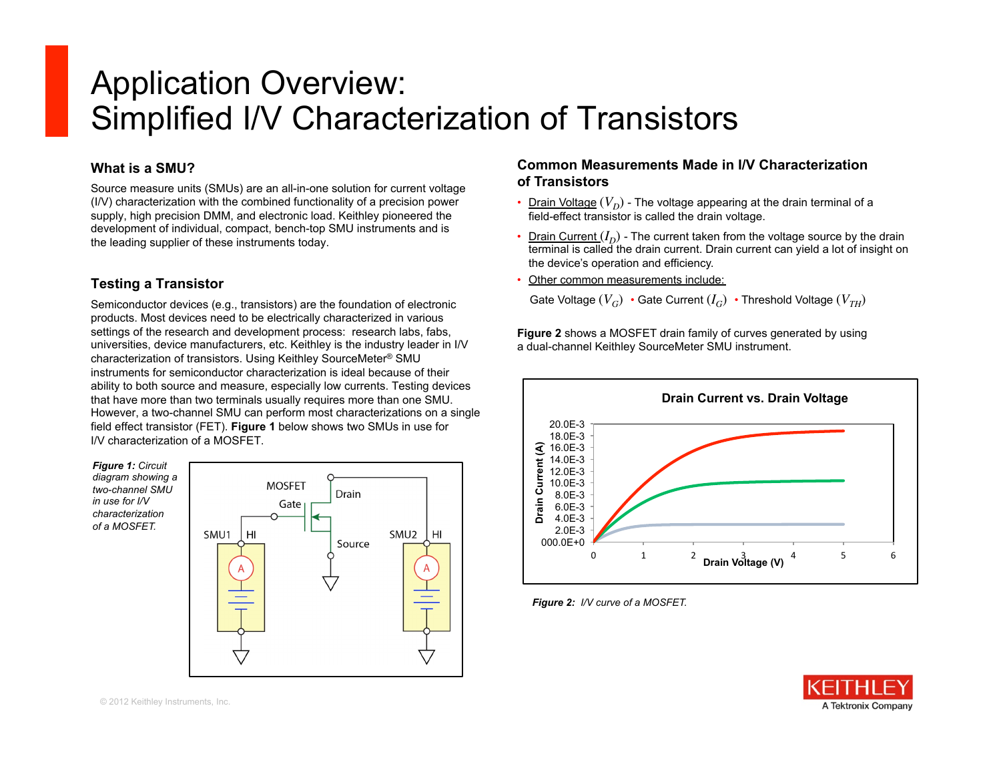# Application Overview: Simplified I/V Characterization of Transistors

## **What is a SMU?**

Source measure units (SMUs) are an all-in-one solution for current voltage (I/V) characterization with the combined functionality of a precision power supply, high precision DMM, and electronic load. Keithley pioneered the development of individual, compact, bench-top SMU instruments and is the leading supplier of these instruments today.

# **Testing a Transistor**

Semiconductor devices (e.g., transistors) are the foundation of electronic products. Most devices need to be electrically characterized in various settings of the research and development process: research labs, fabs, universities, device manufacturers, etc. Keithley is the industry leader in I/V characterization of transistors. Using Keithley SourceMeter® SMU instruments for semiconductor characterization is ideal because of their ability to both source and measure, especially low currents. Testing devices that have more than two terminals usually requires more than one SMU. However, a two-channel SMU can perform most characterizations on a single field effect transistor (FET). **Figure 1** below shows two SMUs in use for I/V characterization of a MOSFET.

*Figure 1: Circuit diagram showing a two-channel SMU in use for I/V characterization of a MOSFET.* 



## **Common Measurements Made in I/V Characterization of Transistors**

- Drain Voltage  $(V_D)$  The voltage appearing at the drain terminal of a field-effect transistor is called the drain voltage.
- Drain Current  $(I_D)$  The current taken from the voltage source by the drain terminal is called the drain current. Drain current can yield a lot of insight on the device's operation and efficiency.
- Other common measurements include:

Gate Voltage  $(V_C)$  • Gate Current  $(I_C)$  • Threshold Voltage  $(V_{TH})$ 

**Figure 2** shows a MOSFET drain family of curves generated by using a dual-channel Keithley SourceMeter SMU instrument.



*Figure 2: I/V curve of a MOSFET.*